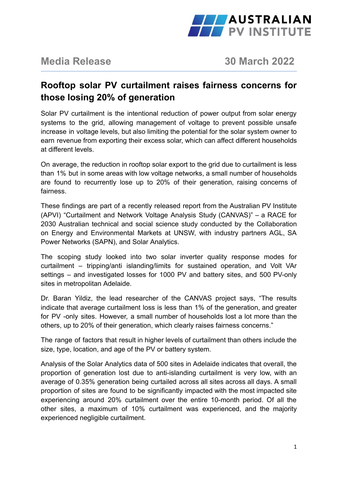

**Media Release 30 March 2022**

# **Rooftop solar PV curtailment raises fairness concerns for those losing 20% of generation**

Solar PV curtailment is the intentional reduction of power output from solar energy systems to the grid, allowing management of voltage to prevent possible unsafe increase in voltage levels, but also limiting the potential for the solar system owner to earn revenue from exporting their excess solar, which can affect different households at different levels.

On average, the reduction in rooftop solar export to the grid due to curtailment is less than 1% but in some areas with low voltage networks, a small number of households are found to recurrently lose up to 20% of their generation, raising concerns of fairness.

These findings are part of a recently released report from the Australian PV Institute (APVI) "Curtailment and Network Voltage Analysis Study (CANVAS)" – a RACE for 2030 Australian technical and social science study conducted by the Collaboration on Energy and Environmental Markets at UNSW, with industry partners AGL, SA Power Networks (SAPN), and Solar Analytics.

The scoping study looked into two solar inverter quality response modes for curtailment – tripping/anti islanding/limits for sustained operation, and Volt VAr settings – and investigated losses for 1000 PV and battery sites, and 500 PV-only sites in metropolitan Adelaide.

Dr. Baran Yildiz, the lead researcher of the CANVAS project says, "The results indicate that average curtailment loss is less than 1% of the generation, and greater for PV -only sites. However, a small number of households lost a lot more than the others, up to 20% of their generation, which clearly raises fairness concerns."

The range of factors that result in higher levels of curtailment than others include the size, type, location, and age of the PV or battery system.

Analysis of the Solar Analytics data of 500 sites in Adelaide indicates that overall, the proportion of generation lost due to anti-islanding curtailment is very low, with an average of 0.35% generation being curtailed across all sites across all days. A small proportion of sites are found to be significantly impacted with the most impacted site experiencing around 20% curtailment over the entire 10-month period. Of all the other sites, a maximum of 10% curtailment was experienced, and the majority experienced negligible curtailment.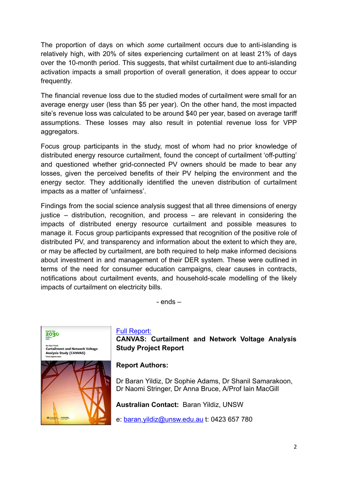The proportion of days on which *some* curtailment occurs due to anti-islanding is relatively high, with 20% of sites experiencing curtailment on at least 21% of days over the 10-month period. This suggests, that whilst curtailment due to anti-islanding activation impacts a small proportion of overall generation, it does appear to occur frequently.

The financial revenue loss due to the studied modes of curtailment were small for an average energy user (less than \$5 per year). On the other hand, the most impacted site's revenue loss was calculated to be around \$40 per year, based on average tariff assumptions. These losses may also result in potential revenue loss for VPP aggregators.

Focus group participants in the study, most of whom had no prior knowledge of distributed energy resource curtailment, found the concept of curtailment 'off-putting' and questioned whether grid-connected PV owners should be made to bear any losses, given the perceived benefits of their PV helping the environment and the energy sector. They additionally identified the uneven distribution of curtailment impacts as a matter of 'unfairness'.

Findings from the social science analysis suggest that all three dimensions of energy justice – distribution, recognition, and process – are relevant in considering the impacts of distributed energy resource curtailment and possible measures to manage it. Focus group participants expressed that recognition of the positive role of distributed PV, and transparency and information about the extent to which they are, or may be affected by curtailment, are both required to help make informed decisions about investment in and management of their DER system. These were outlined in terms of the need for consumer education campaigns, clear causes in contracts, notifications about curtailment events, and household-scale modelling of the likely impacts of curtailment on electricity bills.

- ends –



### [Full Report:](https://apvi.org.au/canvas-curtailment-and-network-voltage-analysis-study-project-report/)

**CANVAS: Curtailment and Network Voltage Analysis Study Project Report**

## **Report Authors:**

Dr Baran Yildiz, Dr Sophie Adams, Dr Shanil Samarakoon, Dr Naomi Stringer, Dr Anna Bruce, A/Prof Iain MacGill

**Australian Contact:** Baran Yildiz, UNSW

e: [baran.yildiz@unsw.edu.au](mailto:baran.yildiz@unsw.edu.au) t: 0423 657 780